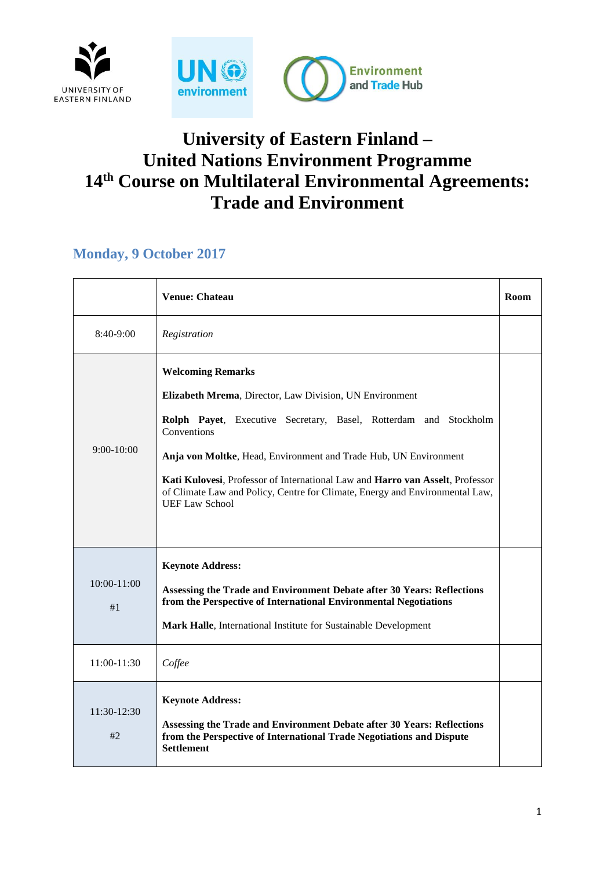

# **University of Eastern Finland – United Nations Environment Programme 14th Course on Multilateral Environmental Agreements: Trade and Environment**

#### **Monday, 9 October 2017**

|                       | <b>Venue: Chateau</b>                                                                                                                                                                                                                                                                                                                                                                                                                | Room |
|-----------------------|--------------------------------------------------------------------------------------------------------------------------------------------------------------------------------------------------------------------------------------------------------------------------------------------------------------------------------------------------------------------------------------------------------------------------------------|------|
| 8:40-9:00             | Registration                                                                                                                                                                                                                                                                                                                                                                                                                         |      |
| $9:00-10:00$          | <b>Welcoming Remarks</b><br>Elizabeth Mrema, Director, Law Division, UN Environment<br>Rolph Payet, Executive Secretary, Basel, Rotterdam and Stockholm<br>Conventions<br>Anja von Moltke, Head, Environment and Trade Hub, UN Environment<br>Kati Kulovesi, Professor of International Law and Harro van Asselt, Professor<br>of Climate Law and Policy, Centre for Climate, Energy and Environmental Law,<br><b>UEF Law School</b> |      |
| $10:00 - 11:00$<br>#1 | <b>Keynote Address:</b><br>Assessing the Trade and Environment Debate after 30 Years: Reflections<br>from the Perspective of International Environmental Negotiations<br>Mark Halle, International Institute for Sustainable Development                                                                                                                                                                                             |      |
| 11:00-11:30           | Coffee                                                                                                                                                                                                                                                                                                                                                                                                                               |      |
| $11:30-12:30$<br>#2   | <b>Keynote Address:</b><br>Assessing the Trade and Environment Debate after 30 Years: Reflections<br>from the Perspective of International Trade Negotiations and Dispute<br><b>Settlement</b>                                                                                                                                                                                                                                       |      |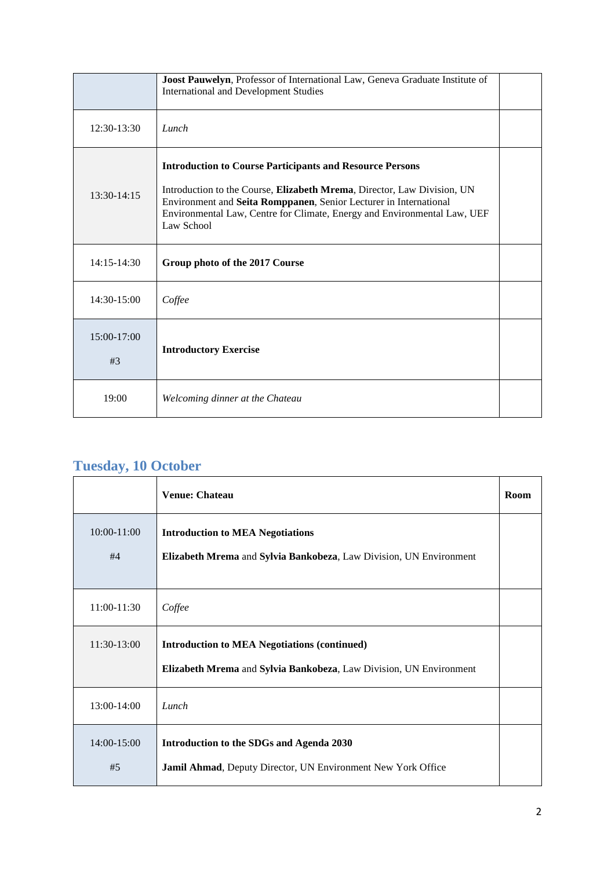|                   | Joost Pauwelyn, Professor of International Law, Geneva Graduate Institute of<br><b>International and Development Studies</b>                                                                                                                                                                              |  |
|-------------------|-----------------------------------------------------------------------------------------------------------------------------------------------------------------------------------------------------------------------------------------------------------------------------------------------------------|--|
| $12:30-13:30$     | Lunch                                                                                                                                                                                                                                                                                                     |  |
| $13:30-14:15$     | <b>Introduction to Course Participants and Resource Persons</b><br>Introduction to the Course, Elizabeth Mrema, Director, Law Division, UN<br>Environment and Seita Romppanen, Senior Lecturer in International<br>Environmental Law, Centre for Climate, Energy and Environmental Law, UEF<br>Law School |  |
| $14:15-14:30$     | Group photo of the 2017 Course                                                                                                                                                                                                                                                                            |  |
| $14:30-15:00$     | Coffee                                                                                                                                                                                                                                                                                                    |  |
| 15:00-17:00<br>#3 | <b>Introductory Exercise</b>                                                                                                                                                                                                                                                                              |  |
| 19:00             | Welcoming dinner at the Chateau                                                                                                                                                                                                                                                                           |  |

### **Tuesday, 10 October**

|                   | <b>Venue: Chateau</b>                                                                                                     | Room |
|-------------------|---------------------------------------------------------------------------------------------------------------------------|------|
| 10:00-11:00<br>#4 | <b>Introduction to MEA Negotiations</b><br>Elizabeth Mrema and Sylvia Bankobeza, Law Division, UN Environment             |      |
| 11:00-11:30       | Coffee                                                                                                                    |      |
| 11:30-13:00       | <b>Introduction to MEA Negotiations (continued)</b><br>Elizabeth Mrema and Sylvia Bankobeza, Law Division, UN Environment |      |
| 13:00-14:00       | Lunch                                                                                                                     |      |
| 14:00-15:00<br>#5 | Introduction to the SDGs and Agenda 2030<br>Jamil Ahmad, Deputy Director, UN Environment New York Office                  |      |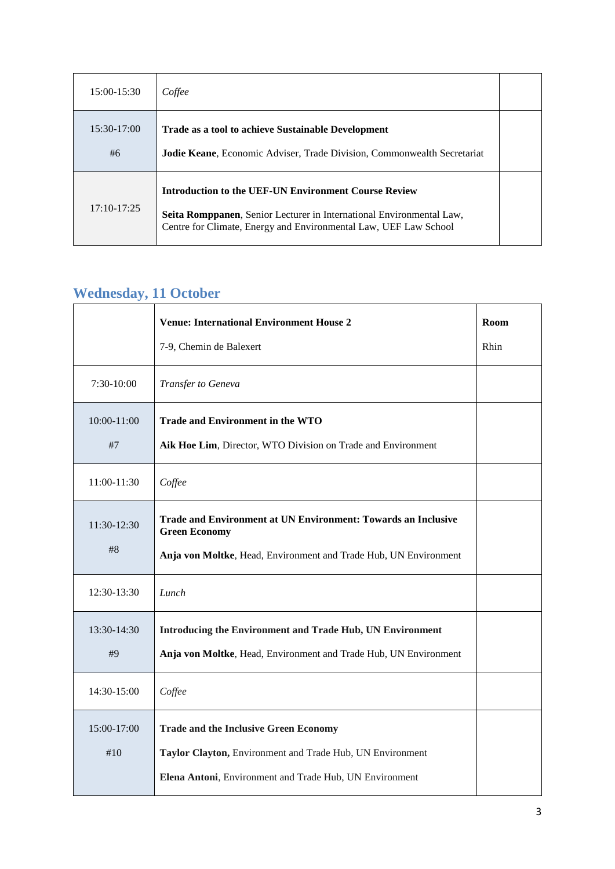| 15:00-15:30         | Coffee                                                                                                                                                                                                  |  |
|---------------------|---------------------------------------------------------------------------------------------------------------------------------------------------------------------------------------------------------|--|
| $15:30-17:00$<br>#6 | <b>Trade as a tool to achieve Sustainable Development</b><br>Jodie Keane, Economic Adviser, Trade Division, Commonwealth Secretariat                                                                    |  |
| $17:10-17:25$       | <b>Introduction to the UEF-UN Environment Course Review</b><br>Seita Romppanen, Senior Lecturer in International Environmental Law,<br>Centre for Climate, Energy and Environmental Law, UEF Law School |  |

# **Wednesday, 11 October**

|                    | <b>Venue: International Environment House 2</b><br>7-9, Chemin de Balexert                                                                                           | Room<br>Rhin |
|--------------------|----------------------------------------------------------------------------------------------------------------------------------------------------------------------|--------------|
| 7:30-10:00         | Transfer to Geneva                                                                                                                                                   |              |
| 10:00-11:00<br>#7  | <b>Trade and Environment in the WTO</b><br>Aik Hoe Lim, Director, WTO Division on Trade and Environment                                                              |              |
| 11:00-11:30        | Coffee                                                                                                                                                               |              |
| 11:30-12:30<br>#8  | <b>Trade and Environment at UN Environment: Towards an Inclusive</b><br><b>Green Economy</b><br>Anja von Moltke, Head, Environment and Trade Hub, UN Environment     |              |
| 12:30-13:30        | Lunch                                                                                                                                                                |              |
| 13:30-14:30<br>#9  | Introducing the Environment and Trade Hub, UN Environment<br>Anja von Moltke, Head, Environment and Trade Hub, UN Environment                                        |              |
| 14:30-15:00        | Coffee                                                                                                                                                               |              |
| 15:00-17:00<br>#10 | <b>Trade and the Inclusive Green Economy</b><br>Taylor Clayton, Environment and Trade Hub, UN Environment<br>Elena Antoni, Environment and Trade Hub, UN Environment |              |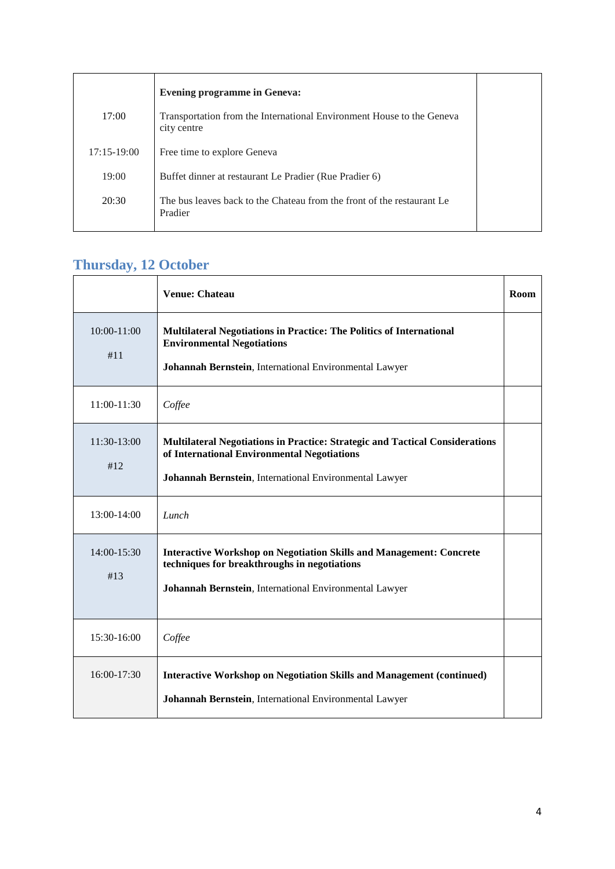|                 | <b>Evening programme in Geneva:</b>                                                  |  |
|-----------------|--------------------------------------------------------------------------------------|--|
| 17:00           | Transportation from the International Environment House to the Geneva<br>city centre |  |
| $17:15 - 19:00$ | Free time to explore Geneva                                                          |  |
| 19:00           | Buffet dinner at restaurant Le Pradier (Rue Pradier 6)                               |  |
| 20:30           | The bus leaves back to the Chateau from the front of the restaurant Le<br>Pradier    |  |

### **Thursday, 12 October**

|                        | <b>Venue: Chateau</b>                                                                                                                                                                 | Room |
|------------------------|---------------------------------------------------------------------------------------------------------------------------------------------------------------------------------------|------|
| $10:00 - 11:00$<br>#11 | <b>Multilateral Negotiations in Practice: The Politics of International</b><br><b>Environmental Negotiations</b><br>Johannah Bernstein, International Environmental Lawyer            |      |
| 11:00-11:30            | Coffee                                                                                                                                                                                |      |
| 11:30-13:00<br>#12     | Multilateral Negotiations in Practice: Strategic and Tactical Considerations<br>of International Environmental Negotiations<br>Johannah Bernstein, International Environmental Lawyer |      |
| 13:00-14:00            | Lunch                                                                                                                                                                                 |      |
| 14:00-15:30<br>#13     | <b>Interactive Workshop on Negotiation Skills and Management: Concrete</b><br>techniques for breakthroughs in negotiations<br>Johannah Bernstein, International Environmental Lawyer  |      |
| 15:30-16:00            | Coffee                                                                                                                                                                                |      |
| $16:00-17:30$          | <b>Interactive Workshop on Negotiation Skills and Management (continued)</b><br>Johannah Bernstein, International Environmental Lawyer                                                |      |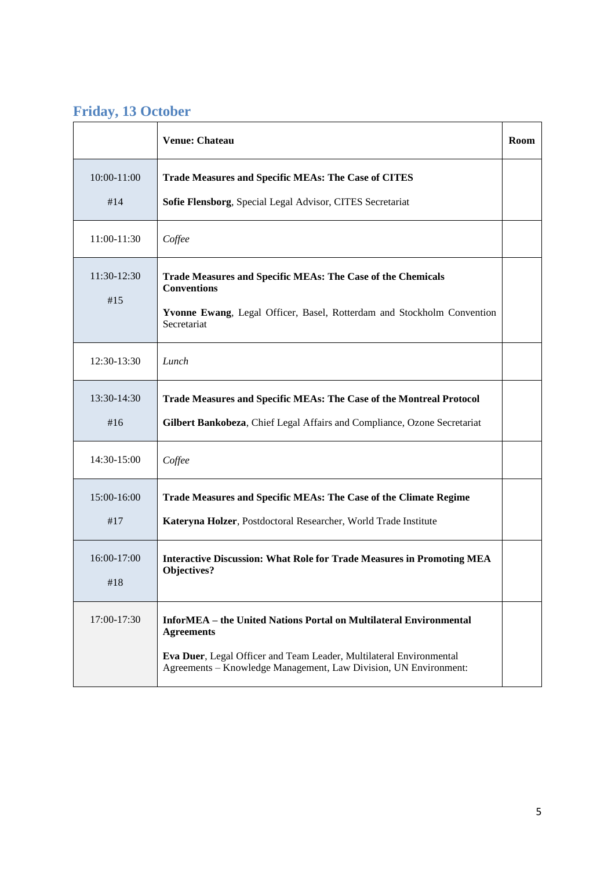# **Friday, 13 October**

|                    | <b>Venue: Chateau</b>                                                                                                                                                                                                                     | Room |
|--------------------|-------------------------------------------------------------------------------------------------------------------------------------------------------------------------------------------------------------------------------------------|------|
| 10:00-11:00<br>#14 | <b>Trade Measures and Specific MEAs: The Case of CITES</b><br>Sofie Flensborg, Special Legal Advisor, CITES Secretariat                                                                                                                   |      |
| 11:00-11:30        | Coffee                                                                                                                                                                                                                                    |      |
| 11:30-12:30<br>#15 | Trade Measures and Specific MEAs: The Case of the Chemicals<br><b>Conventions</b><br>Yvonne Ewang, Legal Officer, Basel, Rotterdam and Stockholm Convention<br>Secretariat                                                                |      |
| 12:30-13:30        | Lunch                                                                                                                                                                                                                                     |      |
| 13:30-14:30<br>#16 | Trade Measures and Specific MEAs: The Case of the Montreal Protocol<br>Gilbert Bankobeza, Chief Legal Affairs and Compliance, Ozone Secretariat                                                                                           |      |
| 14:30-15:00        | Coffee                                                                                                                                                                                                                                    |      |
| 15:00-16:00<br>#17 | Trade Measures and Specific MEAs: The Case of the Climate Regime<br>Kateryna Holzer, Postdoctoral Researcher, World Trade Institute                                                                                                       |      |
| 16:00-17:00<br>#18 | <b>Interactive Discussion: What Role for Trade Measures in Promoting MEA</b><br>Objectives?                                                                                                                                               |      |
| 17:00-17:30        | <b>InforMEA</b> – the United Nations Portal on Multilateral Environmental<br><b>Agreements</b><br>Eva Duer, Legal Officer and Team Leader, Multilateral Environmental<br>Agreements - Knowledge Management, Law Division, UN Environment: |      |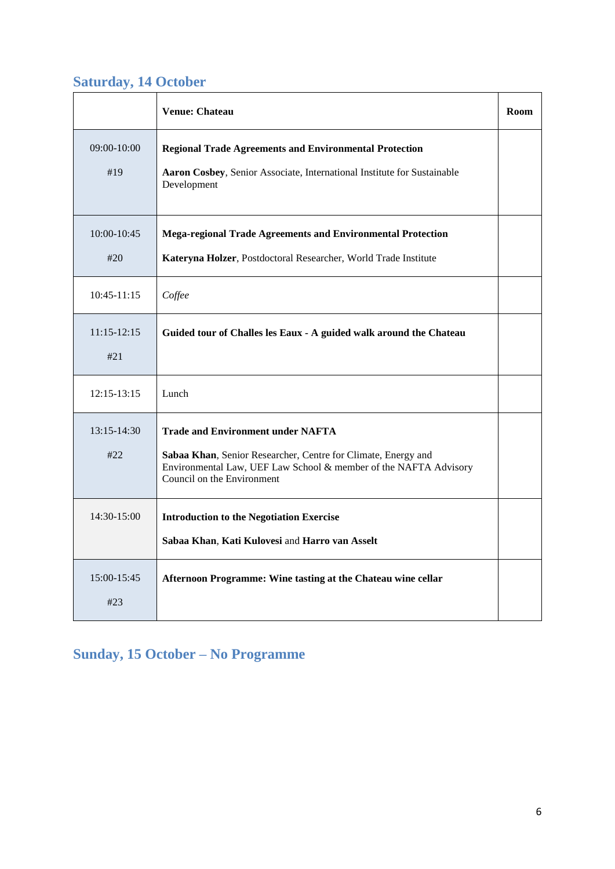### **Saturday, 14 October**

|                        | <b>Venue: Chateau</b>                                                                                                                                                                                       | Room |
|------------------------|-------------------------------------------------------------------------------------------------------------------------------------------------------------------------------------------------------------|------|
| $09:00 - 10:00$<br>#19 | <b>Regional Trade Agreements and Environmental Protection</b><br>Aaron Cosbey, Senior Associate, International Institute for Sustainable<br>Development                                                     |      |
| $10:00 - 10:45$<br>#20 | <b>Mega-regional Trade Agreements and Environmental Protection</b><br>Kateryna Holzer, Postdoctoral Researcher, World Trade Institute                                                                       |      |
| $10:45-11:15$          | Coffee                                                                                                                                                                                                      |      |
| $11:15-12:15$<br>#21   | Guided tour of Challes les Eaux - A guided walk around the Chateau                                                                                                                                          |      |
| $12:15 - 13:15$        | Lunch                                                                                                                                                                                                       |      |
| $13:15-14:30$<br>#22   | <b>Trade and Environment under NAFTA</b><br>Sabaa Khan, Senior Researcher, Centre for Climate, Energy and<br>Environmental Law, UEF Law School & member of the NAFTA Advisory<br>Council on the Environment |      |
| $14:30-15:00$          | <b>Introduction to the Negotiation Exercise</b><br>Sabaa Khan, Kati Kulovesi and Harro van Asselt                                                                                                           |      |
| $15:00-15:45$<br>#23   | Afternoon Programme: Wine tasting at the Chateau wine cellar                                                                                                                                                |      |

# **Sunday, 15 October – No Programme**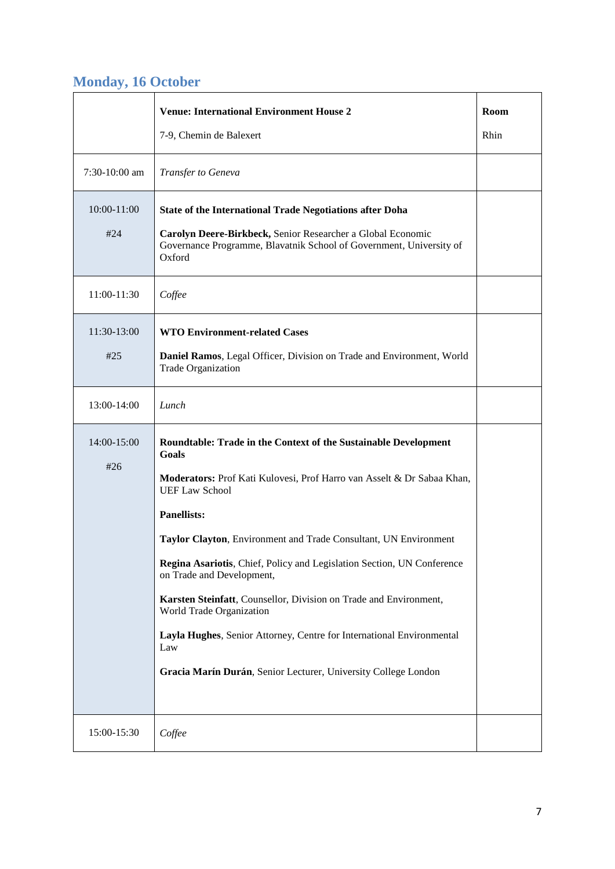### **Monday, 16 October**

|                        | <b>Venue: International Environment House 2</b>                                                                                                                                                                                                                                                                                                                                                                                                                                                                                                                                                                                 | Room |
|------------------------|---------------------------------------------------------------------------------------------------------------------------------------------------------------------------------------------------------------------------------------------------------------------------------------------------------------------------------------------------------------------------------------------------------------------------------------------------------------------------------------------------------------------------------------------------------------------------------------------------------------------------------|------|
|                        | 7-9, Chemin de Balexert                                                                                                                                                                                                                                                                                                                                                                                                                                                                                                                                                                                                         | Rhin |
| 7:30-10:00 am          | Transfer to Geneva                                                                                                                                                                                                                                                                                                                                                                                                                                                                                                                                                                                                              |      |
| $10:00 - 11:00$<br>#24 | <b>State of the International Trade Negotiations after Doha</b><br>Carolyn Deere-Birkbeck, Senior Researcher a Global Economic<br>Governance Programme, Blavatnik School of Government, University of<br>Oxford                                                                                                                                                                                                                                                                                                                                                                                                                 |      |
| 11:00-11:30            | Coffee                                                                                                                                                                                                                                                                                                                                                                                                                                                                                                                                                                                                                          |      |
| 11:30-13:00<br>#25     | <b>WTO Environment-related Cases</b><br>Daniel Ramos, Legal Officer, Division on Trade and Environment, World<br><b>Trade Organization</b>                                                                                                                                                                                                                                                                                                                                                                                                                                                                                      |      |
| 13:00-14:00            | Lunch                                                                                                                                                                                                                                                                                                                                                                                                                                                                                                                                                                                                                           |      |
| 14:00-15:00<br>#26     | Roundtable: Trade in the Context of the Sustainable Development<br>Goals<br>Moderators: Prof Kati Kulovesi, Prof Harro van Asselt & Dr Sabaa Khan,<br><b>UEF Law School</b><br><b>Panellists:</b><br>Taylor Clayton, Environment and Trade Consultant, UN Environment<br>Regina Asariotis, Chief, Policy and Legislation Section, UN Conference<br>on Trade and Development,<br>Karsten Steinfatt, Counsellor, Division on Trade and Environment,<br>World Trade Organization<br>Layla Hughes, Senior Attorney, Centre for International Environmental<br>Law<br>Gracia Marín Durán, Senior Lecturer, University College London |      |
| 15:00-15:30            | Coffee                                                                                                                                                                                                                                                                                                                                                                                                                                                                                                                                                                                                                          |      |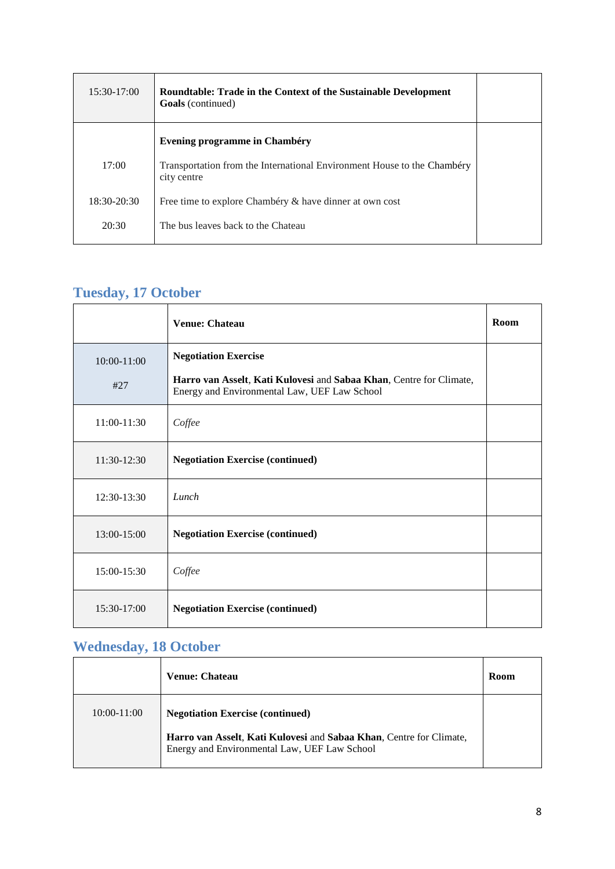| 15:30-17:00   | <b>Roundtable: Trade in the Context of the Sustainable Development</b><br><b>Goals</b> (continued) |  |
|---------------|----------------------------------------------------------------------------------------------------|--|
|               | <b>Evening programme in Chambéry</b>                                                               |  |
| 17:00         | Transportation from the International Environment House to the Chambéry<br>city centre             |  |
| $18:30-20:30$ | Free time to explore Chambéry & have dinner at own cost                                            |  |
| 20:30         | The bus leaves back to the Chateau                                                                 |  |

# **Tuesday, 17 October**

|                      | <b>Venue: Chateau</b>                                                                                                                              | Room |
|----------------------|----------------------------------------------------------------------------------------------------------------------------------------------------|------|
| $10:00-11:00$<br>#27 | <b>Negotiation Exercise</b><br>Harro van Asselt, Kati Kulovesi and Sabaa Khan, Centre for Climate,<br>Energy and Environmental Law, UEF Law School |      |
| 11:00-11:30          | Coffee                                                                                                                                             |      |
| 11:30-12:30          | <b>Negotiation Exercise (continued)</b>                                                                                                            |      |
| 12:30-13:30          | Lunch                                                                                                                                              |      |
| 13:00-15:00          | <b>Negotiation Exercise (continued)</b>                                                                                                            |      |
| 15:00-15:30          | Coffee                                                                                                                                             |      |
| 15:30-17:00          | <b>Negotiation Exercise (continued)</b>                                                                                                            |      |

### **Wednesday, 18 October**

|             | Venue: Chateau                                                                                                             | Room |
|-------------|----------------------------------------------------------------------------------------------------------------------------|------|
| 10:00-11:00 | <b>Negotiation Exercise (continued)</b>                                                                                    |      |
|             | <b>Harro van Asselt, Kati Kulovesi and Sabaa Khan, Centre for Climate,</b><br>Energy and Environmental Law, UEF Law School |      |